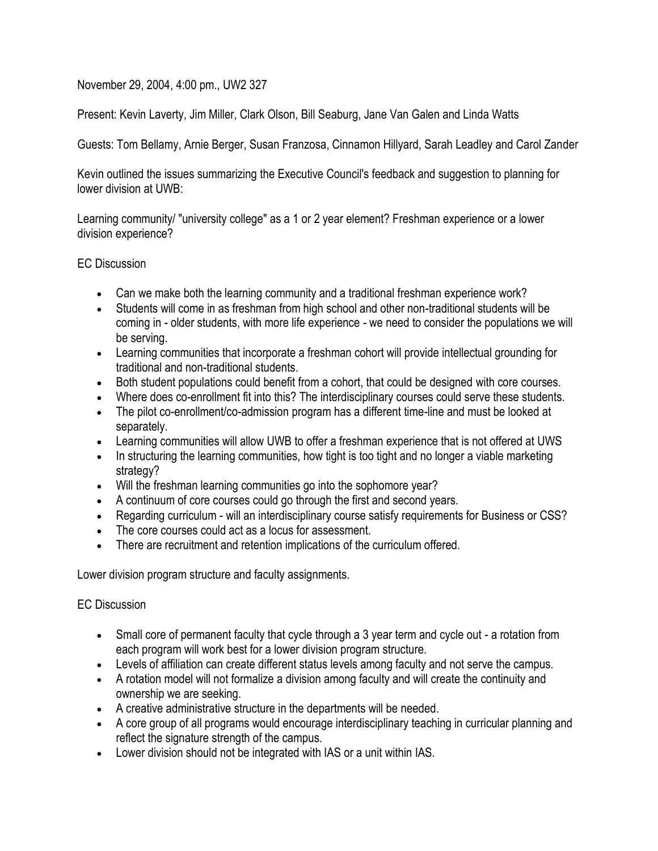November 29, 2004, 4:00 pm., UW2 327

Present: Kevin Laverty, Jim Miller, Clark Olson, Bill Seaburg, Jane Van Galen and Linda Watts

Guests: Tom Bellamy, Arnie Berger, Susan Franzosa, Cinnamon Hillyard, Sarah Leadley and Carol Zander

Kevin outlined the issues summarizing the Executive Council's feedback and suggestion to planning for lower division at UWB:

Learning community/ "university college" as a 1 or 2 year element? Freshman experience or a lower division experience?

## EC Discussion

- Can we make both the learning community and a traditional freshman experience work?
- Students will come in as freshman from high school and other non-traditional students will be coming in - older students, with more life experience - we need to consider the populations we will be serving.
- Learning communities that incorporate a freshman cohort will provide intellectual grounding for traditional and non-traditional students.
- Both student populations could benefit from a cohort, that could be designed with core courses.
- Where does co-enrollment fit into this? The interdisciplinary courses could serve these students.
- The pilot co-enrollment/co-admission program has a different time-line and must be looked at separately.
- Learning communities will allow UWB to offer a freshman experience that is not offered at UWS
- In structuring the learning communities, how tight is too tight and no longer a viable marketing strategy?
- Will the freshman learning communities go into the sophomore year?
- A continuum of core courses could go through the first and second years.
- Regarding curriculum will an interdisciplinary course satisfy requirements for Business or CSS?
- The core courses could act as a locus for assessment.
- There are recruitment and retention implications of the curriculum offered.

Lower division program structure and faculty assignments.

## EC Discussion

- Small core of permanent faculty that cycle through a 3 year term and cycle out a rotation from each program will work best for a lower division program structure.
- Levels of affiliation can create different status levels among faculty and not serve the campus.
- A rotation model will not formalize a division among faculty and will create the continuity and ownership we are seeking.
- A creative administrative structure in the departments will be needed.
- A core group of all programs would encourage interdisciplinary teaching in curricular planning and reflect the signature strength of the campus.
- Lower division should not be integrated with IAS or a unit within IAS.